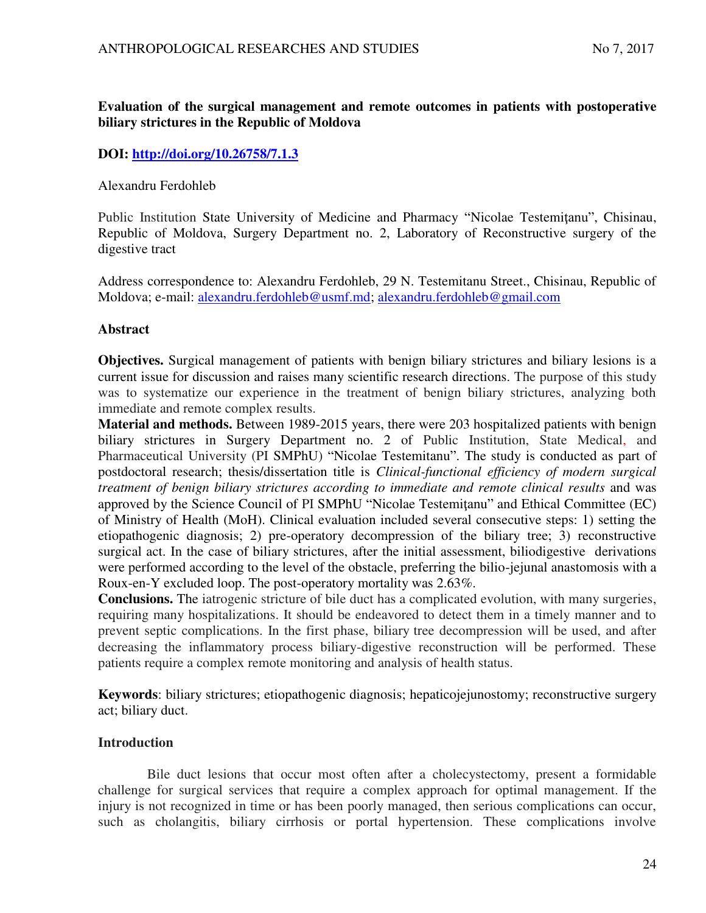# **Evaluation of the surgical management and remote outcomes in patients with postoperative biliary strictures in the Republic of Moldova**

## **DOI:<http://doi.org/10.26758/7.1.3>**

#### Alexandru Ferdohleb

Public Institution State University of Medicine and Pharmacy "Nicolae Testemiţanu", Chisinau, Republic of Moldova, Surgery Department no. 2, Laboratory of Reconstructive surgery of the digestive tract

Address correspondence to: Alexandru Ferdohleb, 29 N. Testemitanu Street., Chisinau, Republic of Moldova; e-mail: [alexandru.ferdohleb@usmf.md;](mailto:alexandru.ferdohleb@usmf.md) [alexandru.ferdohleb@gmail.com](mailto:alexandru.ferdohleb@gmail.com)

## **Abstract**

**Objectives.** Surgical management of patients with benign biliary strictures and biliary lesions is a current issue for discussion and raises many scientific research directions. The purpose of this study was to systematize our experience in the treatment of benign biliary strictures, analyzing both immediate and remote complex results.

**Material and methods.** Between 1989-2015 years, there were 203 hospitalized patients with benign biliary strictures in Surgery Department no. 2 of Public Institution, State Medical, and Pharmaceutical University (PI SMPhU) "Nicolae Testemitanu". The study is conducted as part of postdoctoral research; thesis/dissertation title is *Clinical-functional efficiency of modern surgical treatment of benign biliary strictures according to immediate and remote clinical results* and was approved by the Science Council of PI SMPhU "Nicolae Testemiţanu" and Ethical Committee (EC) of Ministry of Health (MoH). Clinical evaluation included several consecutive steps: 1) setting the etiopathogenic diagnosis; 2) pre-operatory decompression of the biliary tree; 3) reconstructive surgical act. In the case of biliary strictures, after the initial assessment, biliodigestive derivations were performed according to the level of the obstacle, preferring the bilio-jejunal anastomosis with a Roux-en-Y excluded loop. The post-operatory mortality was 2.63%.

**Conclusions.** The iatrogenic stricture of bile duct has a complicated evolution, with many surgeries, requiring many hospitalizations. It should be endeavored to detect them in a timely manner and to prevent septic complications. In the first phase, biliary tree decompression will be used, and after decreasing the inflammatory process biliary-digestive reconstruction will be performed. These patients require a complex remote monitoring and analysis of health status.

**Keywords**: biliary strictures; etiopathogenic diagnosis; hepaticojejunostomy; reconstructive surgery act; biliary duct.

### **Introduction**

Bile duct lesions that occur most often after a cholecystectomy, present a formidable challenge for surgical services that require a complex approach for optimal management. If the injury is not recognized in time or has been poorly managed, then serious complications can occur, such as cholangitis, biliary cirrhosis or portal hypertension. These complications involve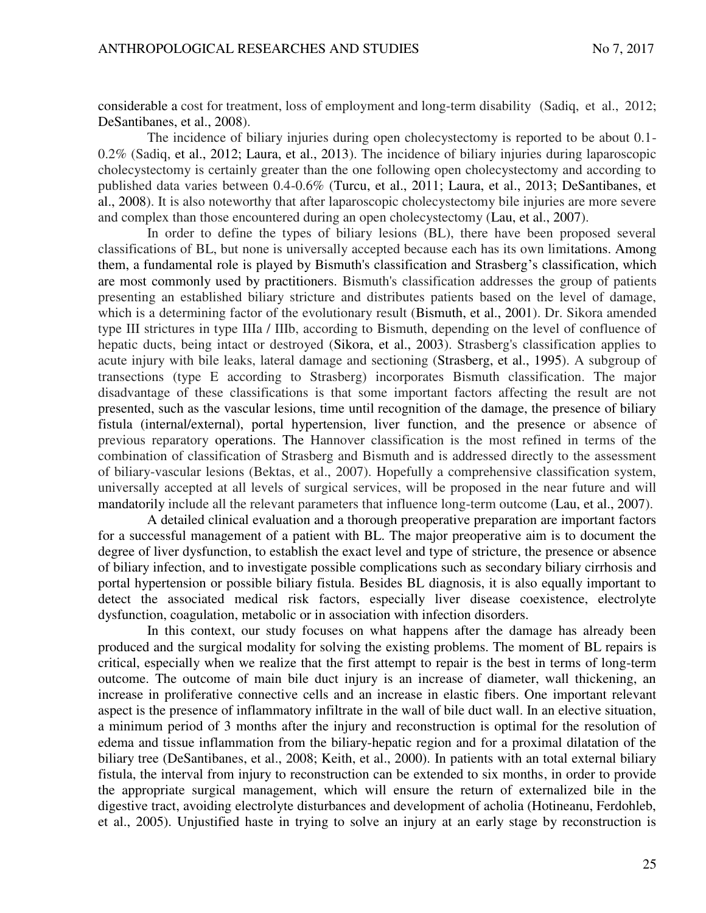considerable a cost for treatment, loss of employment and long-term disability (Sadiq, et al., 2012; DeSantibanes, et al., 2008).

The incidence of biliary injuries during open cholecystectomy is reported to be about 0.1- 0.2% (Sadiq, et al., 2012; Laura, et al., 2013). The incidence of biliary injuries during laparoscopic cholecystectomy is certainly greater than the one following open cholecystectomy and according to published data varies between 0.4-0.6% (Turcu, et al., 2011; Laura, et al., 2013; DeSantibanes, et al., 2008). It is also noteworthy that after laparoscopic cholecystectomy bile injuries are more severe and complex than those encountered during an open cholecystectomy (Lau, et al., 2007).

In order to define the types of biliary lesions (BL), there have been proposed several classifications of BL, but none is universally accepted because each has its own limitations. Among them, a fundamental role is played by Bismuth's classification and Strasberg's classification, which are most commonly used by practitioners. Bismuth's classification addresses the group of patients presenting an established biliary stricture and distributes patients based on the level of damage, which is a determining factor of the evolutionary result (Bismuth, et al., 2001). Dr. Sikora amended type III strictures in type IIIa / IIIb, according to Bismuth, depending on the level of confluence of hepatic ducts, being intact or destroyed (Sikora, et al., 2003). Strasberg's classification applies to acute injury with bile leaks, lateral damage and sectioning (Strasberg, et al., 1995). A subgroup of transections (type E according to Strasberg) incorporates Bismuth classification. The major disadvantage of these classifications is that some important factors affecting the result are not presented, such as the vascular lesions, time until recognition of the damage, the presence of biliary fistula (internal/external), portal hypertension, liver function, and the presence or absence of previous reparatory operations. The Hannover classification is the most refined in terms of the combination of classification of Strasberg and Bismuth and is addressed directly to the assessment of biliary-vascular lesions (Bektas, et al., 2007). Hopefully a comprehensive classification system, universally accepted at all levels of surgical services, will be proposed in the near future and will mandatorily include all the relevant parameters that influence long-term outcome (Lau, et al., 2007).

A detailed clinical evaluation and a thorough preoperative preparation are important factors for a successful management of a patient with BL. The major preoperative aim is to document the degree of liver dysfunction, to establish the exact level and type of stricture, the presence or absence of biliary infection, and to investigate possible complications such as secondary biliary cirrhosis and portal hypertension or possible biliary fistula. Besides BL diagnosis, it is also equally important to detect the associated medical risk factors, especially liver disease coexistence, electrolyte dysfunction, coagulation, metabolic or in association with infection disorders.

In this context, our study focuses on what happens after the damage has already been produced and the surgical modality for solving the existing problems. The moment of BL repairs is critical, especially when we realize that the first attempt to repair is the best in terms of long-term outcome. The outcome of main bile duct injury is an increase of diameter, wall thickening, an increase in proliferative connective cells and an increase in elastic fibers. One important relevant aspect is the presence of inflammatory infiltrate in the wall of bile duct wall. In an elective situation, a minimum period of 3 months after the injury and reconstruction is optimal for the resolution of edema and tissue inflammation from the biliary-hepatic region and for a proximal dilatation of the biliary tree (DeSantibanes, et al., 2008; Keith, et al., 2000). In patients with an total external biliary fistula, the interval from injury to reconstruction can be extended to six months, in order to provide the appropriate surgical management, which will ensure the return of externalized bile in the digestive tract, avoiding electrolyte disturbances and development of acholia (Hotineanu, Ferdohleb, et al., 2005). Unjustified haste in trying to solve an injury at an early stage by reconstruction is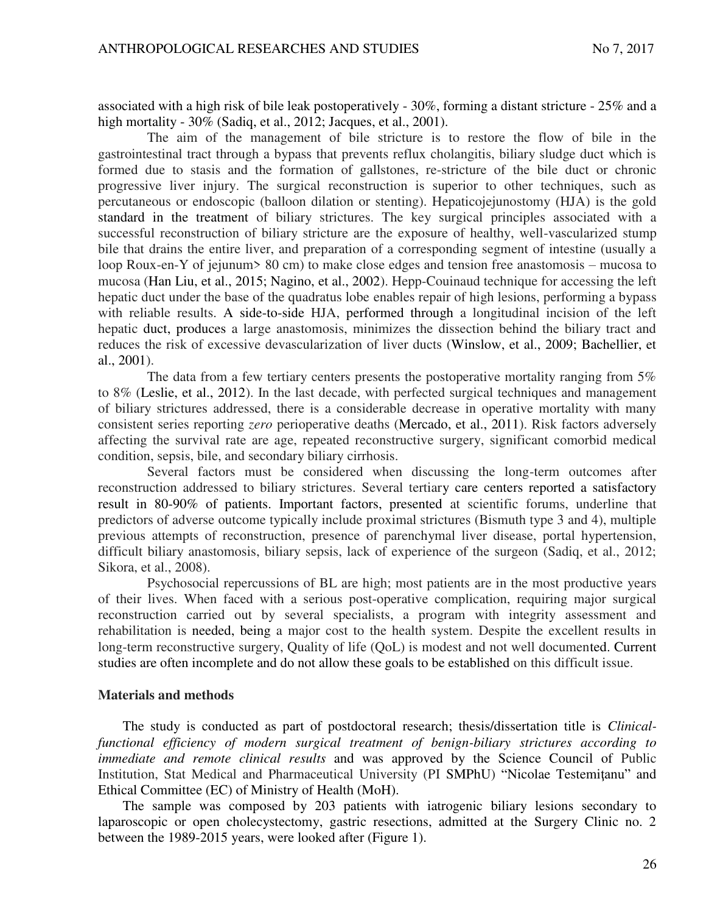associated with a high risk of bile leak postoperatively - 30%, forming a distant stricture - 25% and a high mortality - 30% (Sadiq, et al., 2012; Jacques, et al., 2001).

The aim of the management of bile stricture is to restore the flow of bile in the gastrointestinal tract through a bypass that prevents reflux cholangitis, biliary sludge duct which is formed due to stasis and the formation of gallstones, re-stricture of the bile duct or chronic progressive liver injury. The surgical reconstruction is superior to other techniques, such as percutaneous or endoscopic (balloon dilation or stenting). Hepaticojejunostomy (HJA) is the gold standard in the treatment of biliary strictures. The key surgical principles associated with a successful reconstruction of biliary stricture are the exposure of healthy, well-vascularized stump bile that drains the entire liver, and preparation of a corresponding segment of intestine (usually a loop Roux-en-Y of jejunum> 80 cm) to make close edges and tension free anastomosis – mucosa to mucosa (Han Liu, et al., 2015; Nagino, et al., 2002). Hepp-Couinaud technique for accessing the left hepatic duct under the base of the quadratus lobe enables repair of high lesions, performing a bypass with reliable results. A side-to-side HJA, performed through a longitudinal incision of the left hepatic duct, produces a large anastomosis, minimizes the dissection behind the biliary tract and reduces the risk of excessive devascularization of liver ducts (Winslow, et al., 2009; Bachellier, et al., 2001).

The data from a few tertiary centers presents the postoperative mortality ranging from 5% to 8% (Leslie, et al., 2012). In the last decade, with perfected surgical techniques and management of biliary strictures addressed, there is a considerable decrease in operative mortality with many consistent series reporting *zero* perioperative deaths (Mercado, et al., 2011). Risk factors adversely affecting the survival rate are age, repeated reconstructive surgery, significant comorbid medical condition, sepsis, bile, and secondary biliary cirrhosis.

Several factors must be considered when discussing the long-term outcomes after reconstruction addressed to biliary strictures. Several tertiary care centers reported a satisfactory result in 80-90% of patients. Important factors, presented at scientific forums, underline that predictors of adverse outcome typically include proximal strictures (Bismuth type 3 and 4), multiple previous attempts of reconstruction, presence of parenchymal liver disease, portal hypertension, difficult biliary anastomosis, biliary sepsis, lack of experience of the surgeon (Sadiq, et al., 2012; Sikora, et al., 2008).

Psychosocial repercussions of BL are high; most patients are in the most productive years of their lives. When faced with a serious post-operative complication, requiring major surgical reconstruction carried out by several specialists, a program with integrity assessment and rehabilitation is needed, being a major cost to the health system. Despite the excellent results in long-term reconstructive surgery, Quality of life (QoL) is modest and not well documented. Current studies are often incomplete and do not allow these goals to be established on this difficult issue.

#### **Materials and methods**

The study is conducted as part of postdoctoral research; thesis/dissertation title is *Clinicalfunctional efficiency of modern surgical treatment of benign-biliary strictures according to immediate and remote clinical results* and was approved by the Science Council of Public Institution, Stat Medical and Pharmaceutical University (PI SMPhU) "Nicolae Testemiţanu" and Ethical Committee (EC) of Ministry of Health (MoH).

The sample was composed by 203 patients with iatrogenic biliary lesions secondary to laparoscopic or open cholecystectomy, gastric resections, admitted at the Surgery Clinic no. 2 between the 1989-2015 years, were looked after (Figure 1).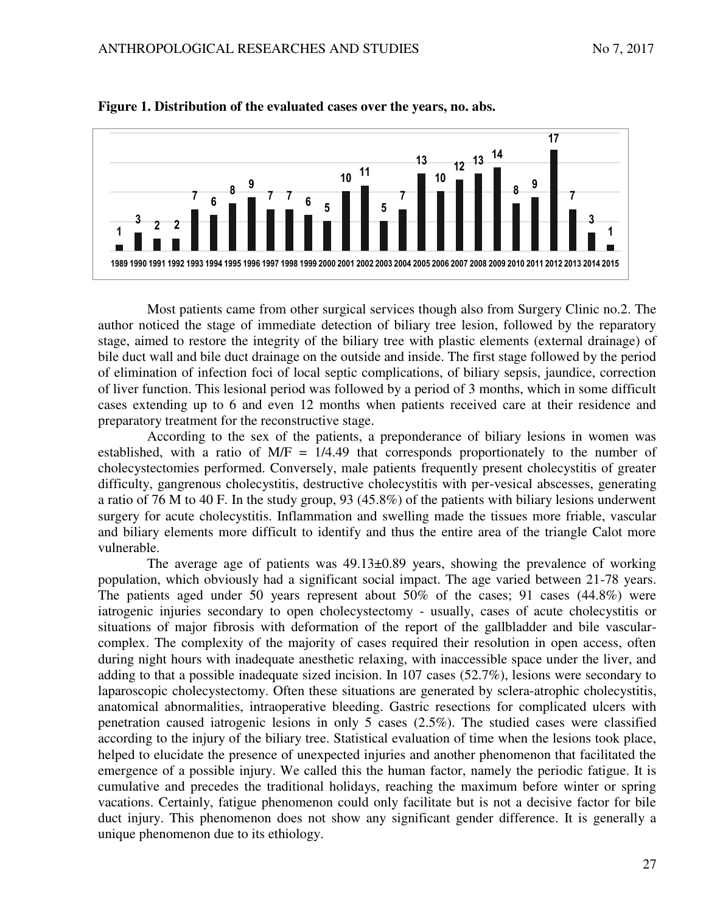



Most patients came from other surgical services though also from Surgery Clinic no.2. The author noticed the stage of immediate detection of biliary tree lesion, followed by the reparatory stage, aimed to restore the integrity of the biliary tree with plastic elements (external drainage) of bile duct wall and bile duct drainage on the outside and inside. The first stage followed by the period of elimination of infection foci of local septic complications, of biliary sepsis, jaundice, correction of liver function. This lesional period was followed by a period of 3 months, which in some difficult cases extending up to 6 and even 12 months when patients received care at their residence and preparatory treatment for the reconstructive stage.

According to the sex of the patients, a preponderance of biliary lesions in women was established, with a ratio of  $M/F = 1/4.49$  that corresponds proportionately to the number of cholecystectomies performed. Conversely, male patients frequently present cholecystitis of greater difficulty, gangrenous cholecystitis, destructive cholecystitis with per-vesical abscesses, generating a ratio of 76 M to 40 F. In the study group, 93 (45.8%) of the patients with biliary lesions underwent surgery for acute cholecystitis. Inflammation and swelling made the tissues more friable, vascular and biliary elements more difficult to identify and thus the entire area of the triangle Calot more vulnerable.

The average age of patients was  $49.13\pm0.89$  years, showing the prevalence of working population, which obviously had a significant social impact. The age varied between 21-78 years. The patients aged under 50 years represent about 50% of the cases; 91 cases (44.8%) were iatrogenic injuries secondary to open cholecystectomy - usually, cases of acute cholecystitis or situations of major fibrosis with deformation of the report of the gallbladder and bile vascularcomplex. The complexity of the majority of cases required their resolution in open access, often during night hours with inadequate anesthetic relaxing, with inaccessible space under the liver, and adding to that a possible inadequate sized incision. In 107 cases (52.7%), lesions were secondary to laparoscopic cholecystectomy. Often these situations are generated by sclera-atrophic cholecystitis, anatomical abnormalities, intraoperative bleeding. Gastric resections for complicated ulcers with penetration caused iatrogenic lesions in only 5 cases (2.5%). The studied cases were classified according to the injury of the biliary tree. Statistical evaluation of time when the lesions took place, helped to elucidate the presence of unexpected injuries and another phenomenon that facilitated the emergence of a possible injury. We called this the human factor, namely the periodic fatigue. It is cumulative and precedes the traditional holidays, reaching the maximum before winter or spring vacations. Certainly, fatigue phenomenon could only facilitate but is not a decisive factor for bile duct injury. This phenomenon does not show any significant gender difference. It is generally a unique phenomenon due to its ethiology.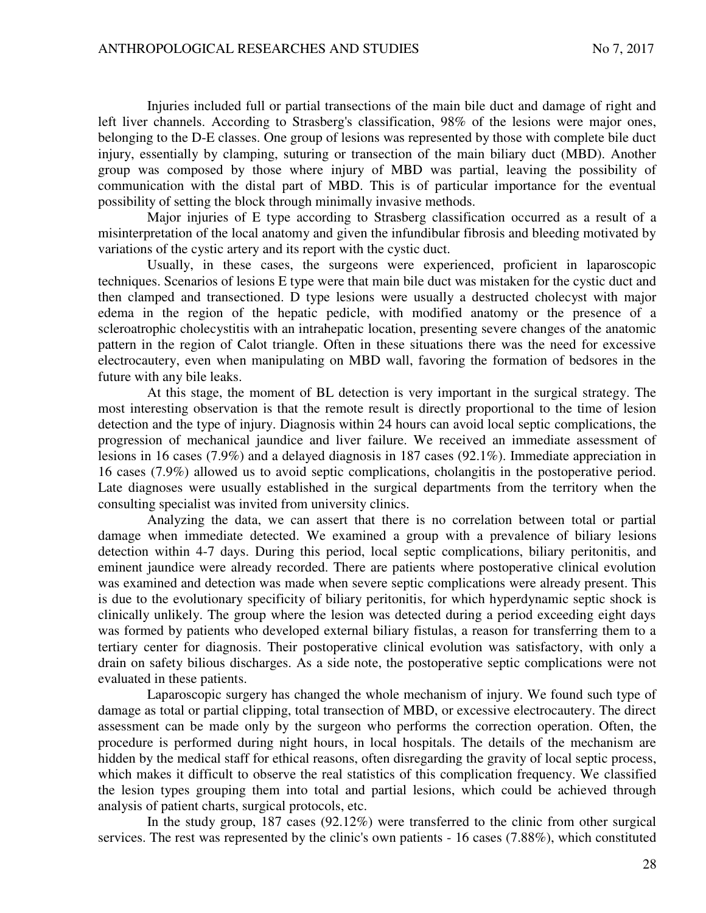Injuries included full or partial transections of the main bile duct and damage of right and left liver channels. According to Strasberg's classification, 98% of the lesions were major ones, belonging to the D-E classes. One group of lesions was represented by those with complete bile duct injury, essentially by clamping, suturing or transection of the main biliary duct (MBD). Another group was composed by those where injury of MBD was partial, leaving the possibility of communication with the distal part of MBD. This is of particular importance for the eventual possibility of setting the block through minimally invasive methods.

Major injuries of E type according to Strasberg classification occurred as a result of a misinterpretation of the local anatomy and given the infundibular fibrosis and bleeding motivated by variations of the cystic artery and its report with the cystic duct.

Usually, in these cases, the surgeons were experienced, proficient in laparoscopic techniques. Scenarios of lesions E type were that main bile duct was mistaken for the cystic duct and then clamped and transectioned. D type lesions were usually a destructed cholecyst with major edema in the region of the hepatic pedicle, with modified anatomy or the presence of a scleroatrophic cholecystitis with an intrahepatic location, presenting severe changes of the anatomic pattern in the region of Calot triangle. Often in these situations there was the need for excessive electrocautery, even when manipulating on MBD wall, favoring the formation of bedsores in the future with any bile leaks.

At this stage, the moment of BL detection is very important in the surgical strategy. The most interesting observation is that the remote result is directly proportional to the time of lesion detection and the type of injury. Diagnosis within 24 hours can avoid local septic complications, the progression of mechanical jaundice and liver failure. We received an immediate assessment of lesions in 16 cases (7.9%) and a delayed diagnosis in 187 cases (92.1%). Immediate appreciation in 16 cases (7.9%) allowed us to avoid septic complications, cholangitis in the postoperative period. Late diagnoses were usually established in the surgical departments from the territory when the consulting specialist was invited from university clinics.

Analyzing the data, we can assert that there is no correlation between total or partial damage when immediate detected. We examined a group with a prevalence of biliary lesions detection within 4-7 days. During this period, local septic complications, biliary peritonitis, and eminent jaundice were already recorded. There are patients where postoperative clinical evolution was examined and detection was made when severe septic complications were already present. This is due to the evolutionary specificity of biliary peritonitis, for which hyperdynamic septic shock is clinically unlikely. The group where the lesion was detected during a period exceeding eight days was formed by patients who developed external biliary fistulas, a reason for transferring them to a tertiary center for diagnosis. Their postoperative clinical evolution was satisfactory, with only a drain on safety bilious discharges. As a side note, the postoperative septic complications were not evaluated in these patients.

Laparoscopic surgery has changed the whole mechanism of injury. We found such type of damage as total or partial clipping, total transection of MBD, or excessive electrocautery. The direct assessment can be made only by the surgeon who performs the correction operation. Often, the procedure is performed during night hours, in local hospitals. The details of the mechanism are hidden by the medical staff for ethical reasons, often disregarding the gravity of local septic process, which makes it difficult to observe the real statistics of this complication frequency. We classified the lesion types grouping them into total and partial lesions, which could be achieved through analysis of patient charts, surgical protocols, etc.

In the study group, 187 cases (92.12%) were transferred to the clinic from other surgical services. The rest was represented by the clinic's own patients - 16 cases (7.88%), which constituted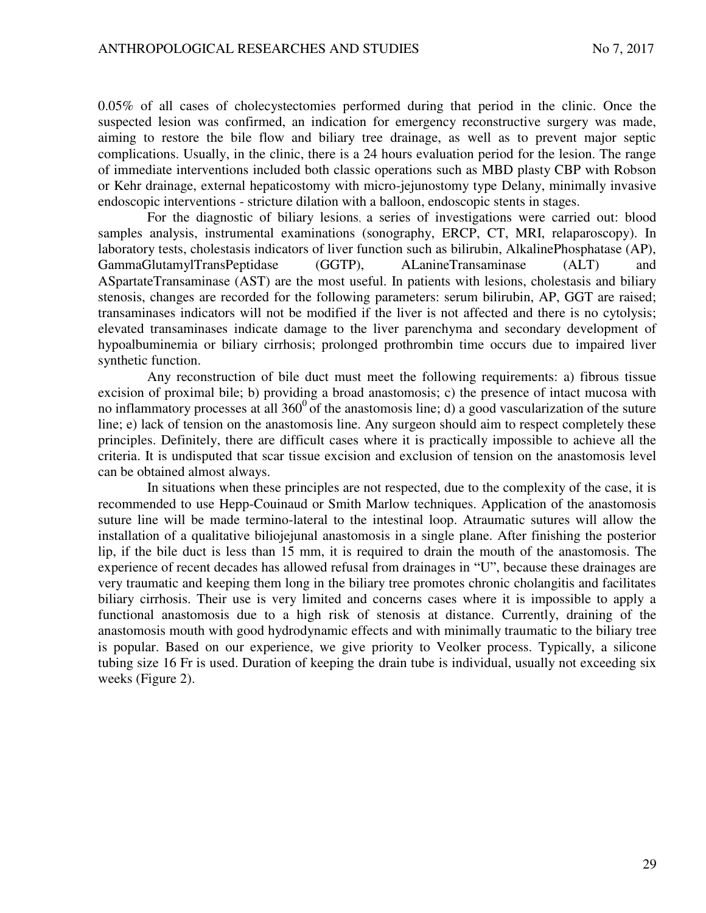0.05% of all cases of cholecystectomies performed during that period in the clinic. Once the suspected lesion was confirmed, an indication for emergency reconstructive surgery was made, aiming to restore the bile flow and biliary tree drainage, as well as to prevent major septic complications. Usually, in the clinic, there is a 24 hours evaluation period for the lesion. The range of immediate interventions included both classic operations such as MBD plasty CBP with Robson or Kehr drainage, external hepaticostomy with micro-jejunostomy type Delany, minimally invasive endoscopic interventions - stricture dilation with a balloon, endoscopic stents in stages.

For the diagnostic of biliary lesions, a series of investigations were carried out: blood samples analysis, instrumental examinations (sonography, ERCP, CT, MRI, relaparoscopy). In laboratory tests, cholestasis indicators of liver function such as bilirubin, AlkalinePhosphatase (AP), GammaGlutamylTransPeptidase (GGTP), ALanineTransaminase (ALT) and ASpartateTransaminase (AST) are the most useful. In patients with lesions, cholestasis and biliary stenosis, changes are recorded for the following parameters: serum bilirubin, AP, GGT are raised; transaminases indicators will not be modified if the liver is not affected and there is no cytolysis; elevated transaminases indicate damage to the liver parenchyma and secondary development of hypoalbuminemia or biliary cirrhosis; prolonged prothrombin time occurs due to impaired liver synthetic function.

Any reconstruction of bile duct must meet the following requirements: a) fibrous tissue excision of proximal bile; b) providing a broad anastomosis; c) the presence of intact mucosa with no inflammatory processes at all  $360^{\circ}$  of the anastomosis line; d) a good vascularization of the suture line; e) lack of tension on the anastomosis line. Any surgeon should aim to respect completely these principles. Definitely, there are difficult cases where it is practically impossible to achieve all the criteria. It is undisputed that scar tissue excision and exclusion of tension on the anastomosis level can be obtained almost always.

In situations when these principles are not respected, due to the complexity of the case, it is recommended to use Hepp-Couinaud or Smith Marlow techniques. Application of the anastomosis suture line will be made termino-lateral to the intestinal loop. Atraumatic sutures will allow the installation of a qualitative biliojejunal anastomosis in a single plane. After finishing the posterior lip, if the bile duct is less than 15 mm, it is required to drain the mouth of the anastomosis. The experience of recent decades has allowed refusal from drainages in "U", because these drainages are very traumatic and keeping them long in the biliary tree promotes chronic cholangitis and facilitates biliary cirrhosis. Their use is very limited and concerns cases where it is impossible to apply a functional anastomosis due to a high risk of stenosis at distance. Currently, draining of the anastomosis mouth with good hydrodynamic effects and with minimally traumatic to the biliary tree is popular. Based on our experience, we give priority to Veolker process. Typically, a silicone tubing size 16 Fr is used. Duration of keeping the drain tube is individual, usually not exceeding six weeks (Figure 2).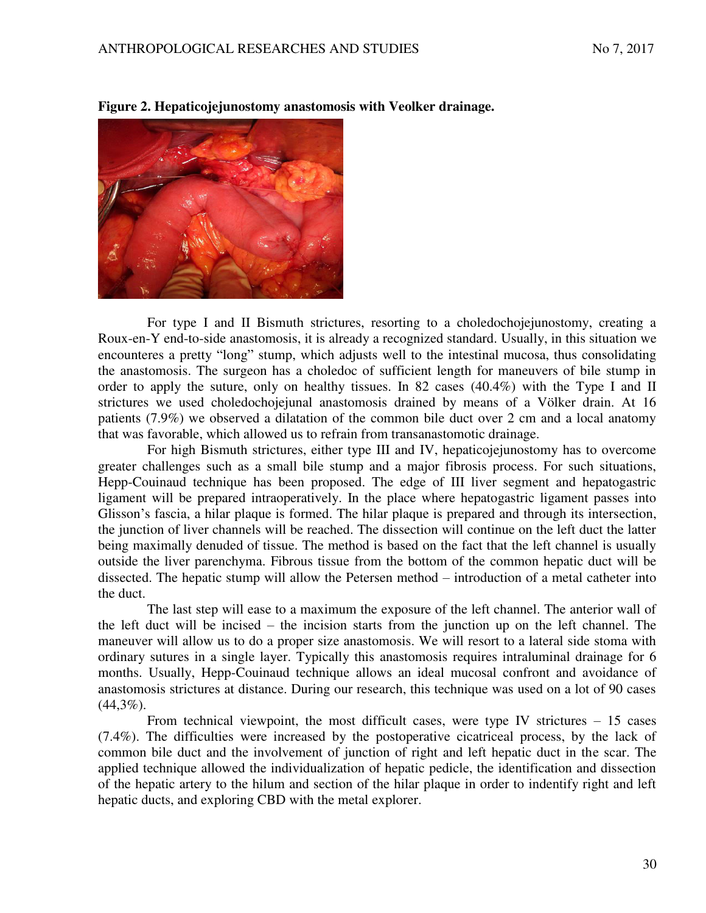

**Figure 2. Hepaticojejunostomy anastomosis with Veolker drainage.** 

For type I and II Bismuth strictures, resorting to a choledochojejunostomy, creating a Roux-en-Y end-to-side anastomosis, it is already a recognized standard. Usually, in this situation we encounteres a pretty "long" stump, which adjusts well to the intestinal mucosa, thus consolidating the anastomosis. The surgeon has a choledoc of sufficient length for maneuvers of bile stump in order to apply the suture, only on healthy tissues. In 82 cases (40.4%) with the Type I and II strictures we used choledochojejunal anastomosis drained by means of a Völker drain. At 16 patients (7.9%) we observed a dilatation of the common bile duct over 2 cm and a local anatomy that was favorable, which allowed us to refrain from transanastomotic drainage.

For high Bismuth strictures, either type III and IV, hepaticojejunostomy has to overcome greater challenges such as a small bile stump and a major fibrosis process. For such situations, Hepp-Couinaud technique has been proposed. The edge of III liver segment and hepatogastric ligament will be prepared intraoperatively. In the place where hepatogastric ligament passes into Glisson's fascia, a hilar plaque is formed. The hilar plaque is prepared and through its intersection, the junction of liver channels will be reached. The dissection will continue on the left duct the latter being maximally denuded of tissue. The method is based on the fact that the left channel is usually outside the liver parenchyma. Fibrous tissue from the bottom of the common hepatic duct will be dissected. The hepatic stump will allow the Petersen method – introduction of a metal catheter into the duct.

The last step will ease to a maximum the exposure of the left channel. The anterior wall of the left duct will be incised – the incision starts from the junction up on the left channel. The maneuver will allow us to do a proper size anastomosis. We will resort to a lateral side stoma with ordinary sutures in a single layer. Typically this anastomosis requires intraluminal drainage for 6 months. Usually, Hepp-Couinaud technique allows an ideal mucosal confront and avoidance of anastomosis strictures at distance. During our research, this technique was used on a lot of 90 cases  $(44,3\%)$ .

From technical viewpoint, the most difficult cases, were type IV strictures  $-15$  cases (7.4%). The difficulties were increased by the postoperative cicatriceal process, by the lack of common bile duct and the involvement of junction of right and left hepatic duct in the scar. The applied technique allowed the individualization of hepatic pedicle, the identification and dissection of the hepatic artery to the hilum and section of the hilar plaque in order to indentify right and left hepatic ducts, and exploring CBD with the metal explorer.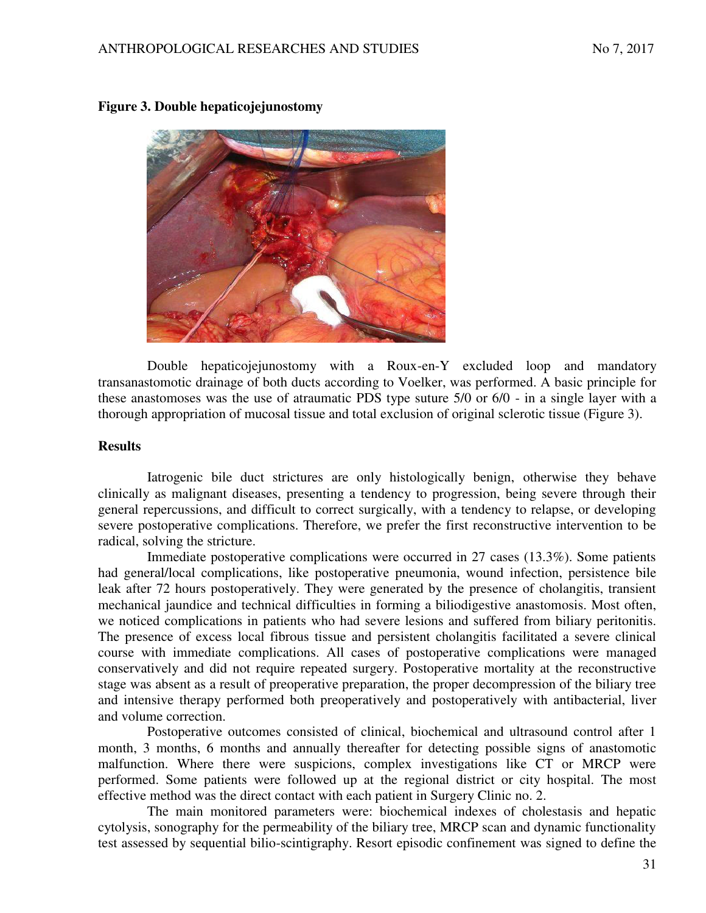

## **Figure 3. Double hepaticojejunostomy**

Double hepaticojejunostomy with a Roux-en-Y excluded loop and mandatory transanastomotic drainage of both ducts according to Voelker, was performed. A basic principle for these anastomoses was the use of atraumatic PDS type suture 5/0 or 6/0 - in a single layer with a thorough appropriation of mucosal tissue and total exclusion of original sclerotic tissue (Figure 3).

### **Results**

Iatrogenic bile duct strictures are only histologically benign, otherwise they behave clinically as malignant diseases, presenting a tendency to progression, being severe through their general repercussions, and difficult to correct surgically, with a tendency to relapse, or developing severe postoperative complications. Therefore, we prefer the first reconstructive intervention to be radical, solving the stricture.

Immediate postoperative complications were occurred in 27 cases (13.3%). Some patients had general/local complications, like postoperative pneumonia, wound infection, persistence bile leak after 72 hours postoperatively. They were generated by the presence of cholangitis, transient mechanical jaundice and technical difficulties in forming a biliodigestive anastomosis. Most often, we noticed complications in patients who had severe lesions and suffered from biliary peritonitis. The presence of excess local fibrous tissue and persistent cholangitis facilitated a severe clinical course with immediate complications. All cases of postoperative complications were managed conservatively and did not require repeated surgery. Postoperative mortality at the reconstructive stage was absent as a result of preoperative preparation, the proper decompression of the biliary tree and intensive therapy performed both preoperatively and postoperatively with antibacterial, liver and volume correction.

Postoperative outcomes consisted of clinical, biochemical and ultrasound control after 1 month, 3 months, 6 months and annually thereafter for detecting possible signs of anastomotic malfunction. Where there were suspicions, complex investigations like CT or MRCP were performed. Some patients were followed up at the regional district or city hospital. The most effective method was the direct contact with each patient in Surgery Clinic no. 2.

The main monitored parameters were: biochemical indexes of cholestasis and hepatic cytolysis, sonography for the permeability of the biliary tree, MRCP scan and dynamic functionality test assessed by sequential bilio-scintigraphy. Resort episodic confinement was signed to define the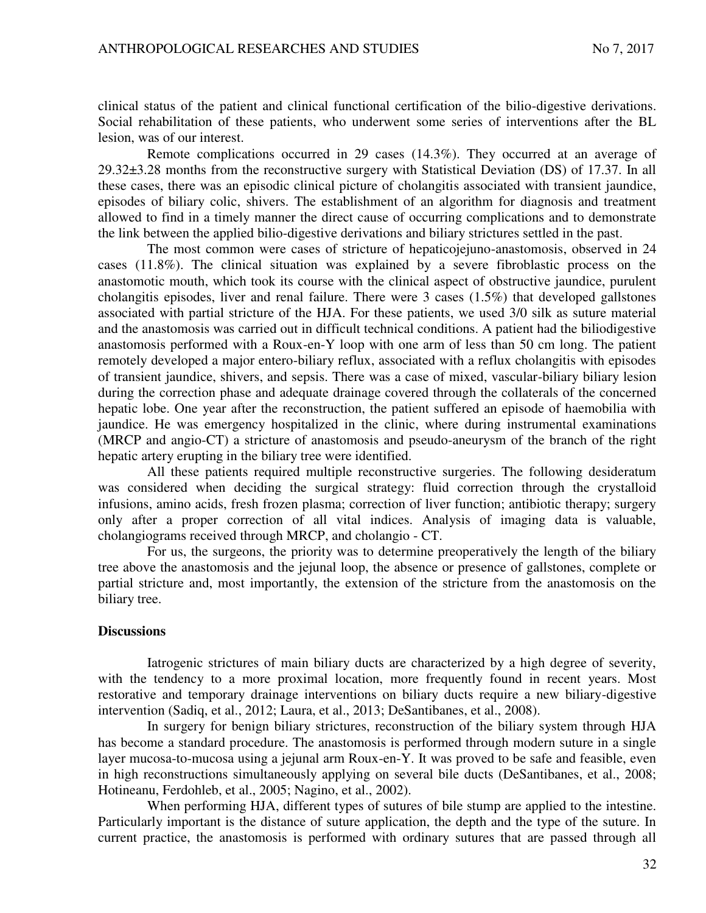clinical status of the patient and clinical functional certification of the bilio-digestive derivations. Social rehabilitation of these patients, who underwent some series of interventions after the BL lesion, was of our interest.

Remote complications occurred in 29 cases (14.3%). They occurred at an average of 29.32±3.28 months from the reconstructive surgery with Statistical Deviation (DS) of 17.37. In all these cases, there was an episodic clinical picture of cholangitis associated with transient jaundice, episodes of biliary colic, shivers. The establishment of an algorithm for diagnosis and treatment allowed to find in a timely manner the direct cause of occurring complications and to demonstrate the link between the applied bilio-digestive derivations and biliary strictures settled in the past.

The most common were cases of stricture of hepaticojejuno-anastomosis, observed in 24 cases (11.8%). The clinical situation was explained by a severe fibroblastic process on the anastomotic mouth, which took its course with the clinical aspect of obstructive jaundice, purulent cholangitis episodes, liver and renal failure. There were 3 cases (1.5%) that developed gallstones associated with partial stricture of the HJA. For these patients, we used 3/0 silk as suture material and the anastomosis was carried out in difficult technical conditions. A patient had the biliodigestive anastomosis performed with a Roux-en-Y loop with one arm of less than 50 cm long. The patient remotely developed a major entero-biliary reflux, associated with a reflux cholangitis with episodes of transient jaundice, shivers, and sepsis. There was a case of mixed, vascular-biliary biliary lesion during the correction phase and adequate drainage covered through the collaterals of the concerned hepatic lobe. One year after the reconstruction, the patient suffered an episode of haemobilia with jaundice. He was emergency hospitalized in the clinic, where during instrumental examinations (MRCP and angio-CT) a stricture of anastomosis and pseudo-aneurysm of the branch of the right hepatic artery erupting in the biliary tree were identified.

All these patients required multiple reconstructive surgeries. The following desideratum was considered when deciding the surgical strategy: fluid correction through the crystalloid infusions, amino acids, fresh frozen plasma; correction of liver function; antibiotic therapy; surgery only after a proper correction of all vital indices. Analysis of imaging data is valuable, cholangiograms received through MRCP, and cholangio - CT.

For us, the surgeons, the priority was to determine preoperatively the length of the biliary tree above the anastomosis and the jejunal loop, the absence or presence of gallstones, complete or partial stricture and, most importantly, the extension of the stricture from the anastomosis on the biliary tree.

### **Discussions**

Iatrogenic strictures of main biliary ducts are characterized by a high degree of severity, with the tendency to a more proximal location, more frequently found in recent years. Most restorative and temporary drainage interventions on biliary ducts require a new biliary-digestive intervention (Sadiq, et al., 2012; Laura, et al., 2013; DeSantibanes, et al., 2008).

In surgery for benign biliary strictures, reconstruction of the biliary system through HJA has become a standard procedure. The anastomosis is performed through modern suture in a single layer mucosa-to-mucosa using a jejunal arm Roux-en-Y. It was proved to be safe and feasible, even in high reconstructions simultaneously applying on several bile ducts (DeSantibanes, et al., 2008; Hotineanu, Ferdohleb, et al., 2005; Nagino, et al., 2002).

When performing HJA, different types of sutures of bile stump are applied to the intestine. Particularly important is the distance of suture application, the depth and the type of the suture. In current practice, the anastomosis is performed with ordinary sutures that are passed through all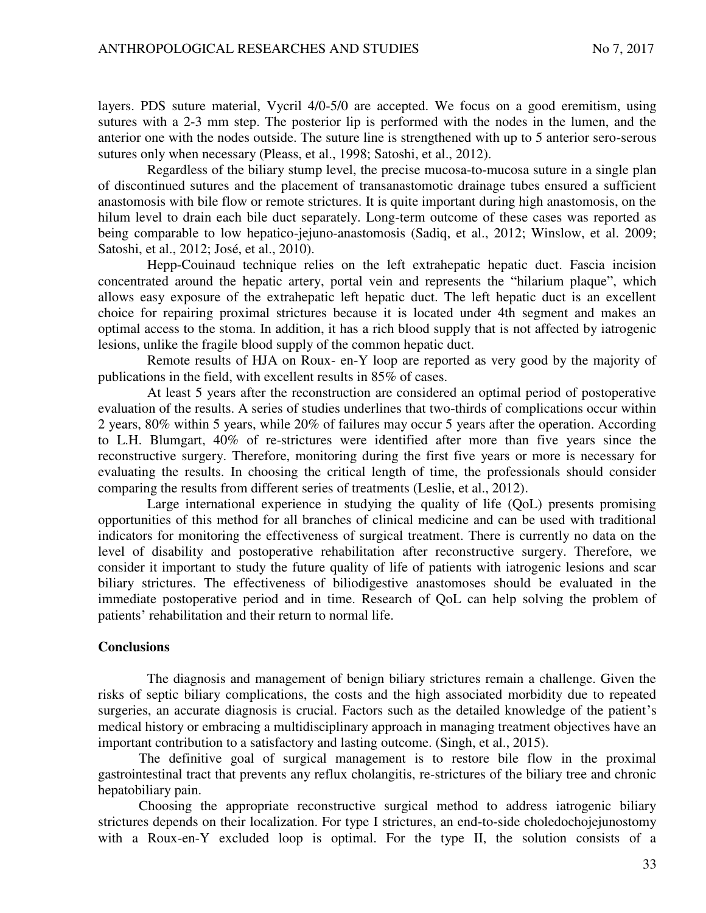layers. PDS suture material, Vycril 4/0-5/0 are accepted. We focus on a good eremitism, using sutures with a 2-3 mm step. The posterior lip is performed with the nodes in the lumen, and the anterior one with the nodes outside. The suture line is strengthened with up to 5 anterior sero-serous sutures only when necessary (Pleass, et al., 1998; Satoshi, et al., 2012).

Regardless of the biliary stump level, the precise mucosa-to-mucosa suture in a single plan of discontinued sutures and the placement of transanastomotic drainage tubes ensured a sufficient anastomosis with bile flow or remote strictures. It is quite important during high anastomosis, on the hilum level to drain each bile duct separately. Long-term outcome of these cases was reported as being comparable to low hepatico-jejuno-anastomosis (Sadiq, et al., 2012; Winslow, et al. 2009; Satoshi, et al., 2012; José, et al., 2010).

Hepp-Couinaud technique relies on the left extrahepatic hepatic duct. Fascia incision concentrated around the hepatic artery, portal vein and represents the "hilarium plaque", which allows easy exposure of the extrahepatic left hepatic duct. The left hepatic duct is an excellent choice for repairing proximal strictures because it is located under 4th segment and makes an optimal access to the stoma. In addition, it has a rich blood supply that is not affected by iatrogenic lesions, unlike the fragile blood supply of the common hepatic duct.

Remote results of HJA on Roux- en-Y loop are reported as very good by the majority of publications in the field, with excellent results in 85% of cases.

At least 5 years after the reconstruction are considered an optimal period of postoperative evaluation of the results. A series of studies underlines that two-thirds of complications occur within 2 years, 80% within 5 years, while 20% of failures may occur 5 years after the operation. According to L.H. Blumgart, 40% of re-strictures were identified after more than five years since the reconstructive surgery. Therefore, monitoring during the first five years or more is necessary for evaluating the results. In choosing the critical length of time, the professionals should consider comparing the results from different series of treatments (Leslie, et al., 2012).

Large international experience in studying the quality of life (QoL) presents promising opportunities of this method for all branches of clinical medicine and can be used with traditional indicators for monitoring the effectiveness of surgical treatment. There is currently no data on the level of disability and postoperative rehabilitation after reconstructive surgery. Therefore, we consider it important to study the future quality of life of patients with iatrogenic lesions and scar biliary strictures. The effectiveness of biliodigestive anastomoses should be evaluated in the immediate postoperative period and in time. Research of QoL can help solving the problem of patients' rehabilitation and their return to normal life.

#### **Conclusions**

The diagnosis and management of benign biliary strictures remain a challenge. Given the risks of septic biliary complications, the costs and the high associated morbidity due to repeated surgeries, an accurate diagnosis is crucial. Factors such as the detailed knowledge of the patient's medical history or embracing a multidisciplinary approach in managing treatment objectives have an important contribution to a satisfactory and lasting outcome. (Singh, et al., 2015).

The definitive goal of surgical management is to restore bile flow in the proximal gastrointestinal tract that prevents any reflux cholangitis, re-strictures of the biliary tree and chronic hepatobiliary pain.

Choosing the appropriate reconstructive surgical method to address iatrogenic biliary strictures depends on their localization. For type I strictures, an end-to-side choledochojejunostomy with a Roux-en-Y excluded loop is optimal. For the type II, the solution consists of a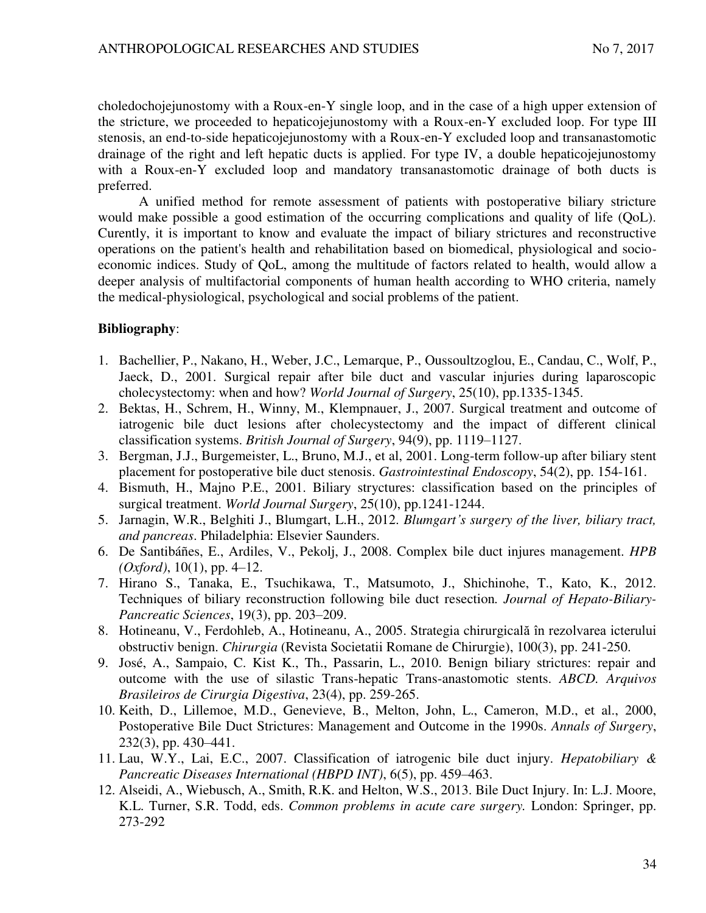choledochojejunostomy with a Roux-en-Y single loop, and in the case of a high upper extension of the stricture, we proceeded to hepaticojejunostomy with a Roux-en-Y excluded loop. For type III stenosis, an end-to-side hepaticojejunostomy with a Roux-en-Y excluded loop and transanastomotic drainage of the right and left hepatic ducts is applied. For type IV, a double hepaticojejunostomy with a Roux-en-Y excluded loop and mandatory transanastomotic drainage of both ducts is preferred.

A unified method for remote assessment of patients with postoperative biliary stricture would make possible a good estimation of the occurring complications and quality of life (QoL). Curently, it is important to know and evaluate the impact of biliary strictures and reconstructive operations on the patient's health and rehabilitation based on biomedical, physiological and socioeconomic indices. Study of QoL, among the multitude of factors related to health, would allow a deeper analysis of multifactorial components of human health according to WHO criteria, namely the medical-physiological, psychological and social problems of the patient.

## **Bibliography**:

- 1. Bachellier, P., Nakano, H., Weber, J.C., Lemarque, P., Oussoultzoglou, E., Candau, C., Wolf, P., Jaeck, D., 2001. Surgical repair after bile duct and vascular injuries during laparoscopic cholecystectomy: when and how? *World Journal of Surgery*, 25(10), pp.1335-1345.
- 2. Bektas, H., Schrem, H., Winny, M., Klempnauer, J., 2007. Surgical treatment and outcome of iatrogenic bile duct lesions after cholecystectomy and the impact of different clinical classification systems. *British Journal of Surgery*, 94(9), pp. 1119–1127.
- 3. Bergman, J.J., Burgemeister, L., Bruno, M.J., et al, 2001. Long-term follow-up after biliary stent placement for postoperative bile duct stenosis. *Gastrointestinal Endoscopy*, 54(2), pp. 154-161.
- 4. Bismuth, H., Majno P.E., 2001. Biliary stryctures: classification based on the principles of surgical treatment. *World Journal Surgery*, 25(10), pp.1241-1244.
- 5. Jarnagin, W.R., Belghiti J., Blumgart, L.H., 2012. *Blumgart's surgery of the liver, biliary tract, and pancreas*. Philadelphia: Elsevier Saunders.
- 6. De Santibáñes, E., Ardiles, V., Pekolj, J., 2008. Complex bile duct injures management. *HPB (Oxford)*, 10(1), pp. 4–12.
- 7. [Hirano](http://www.ncbi.nlm.nih.gov/pubmed/?term=Hirano%20S%5Bauth%5D) S., [Tanaka,](http://www.ncbi.nlm.nih.gov/pubmed/?term=Tanaka%20E%5Bauth%5D) E., [Tsuchikawa,](http://www.ncbi.nlm.nih.gov/pubmed/?term=Tsuchikawa%20T%5Bauth%5D) T., Matsumoto, J., Shichinohe, T., Kato, K., 2012. Techniques of biliary reconstruction following bile duct resection*. Journal of Hepato-Biliary-Pancreatic Sciences*, 19(3), pp. 203–209.
- 8. Hotineanu, V., Ferdohleb, A., Hotineanu, A., 2005. Strategia chirurgicală în rezolvarea icterului obstructiv benign. *Chirurgia* (Revista Societatii Romane de Chirurgie), 100(3), pp. 241-250.
- 9. José, A., Sampaio, C. Kist K., Th., Passarin, L., 2010. Benign biliary strictures: repair and outcome with the use of silastic Trans-hepatic Trans-anastomotic stents. *ABCD. Arquivos Brasileiros de Cirurgia Digestiva*, 23(4), pp. 259-265.
- 10. [Keith, D., Lillemoe,](http://www.ncbi.nlm.nih.gov/pubmed/?term=Lillemoe%20KD%5Bauth%5D) M.D., [Genevieve, B., Melton,](http://www.ncbi.nlm.nih.gov/pubmed/?term=Melton%20GB%5Bauth%5D) [John, L., Cameron,](http://www.ncbi.nlm.nih.gov/pubmed/?term=Cameron%20JL%5Bauth%5D) M.D., et al., 2000, Postoperative Bile Duct Strictures: Management and Outcome in the 1990s. *Annals of Surgery*, 232(3), pp. 430–441.
- 11. Lau, W.Y., Lai, E.C., 2007. Classification of iatrogenic bile duct injury. *Hepatobiliary & Pancreatic Diseases International (HBPD INT)*, 6(5), pp. 459–463.
- 12. Alseidi, A., Wiebusch, A., Smith, R.K. and Helton, W.S., 2013. Bile Duct Injury. In: L.J. Moore, K.L. Turner, S.R. Todd, eds. *Common problems in acute care surgery.* London: Springer, pp. 273-292